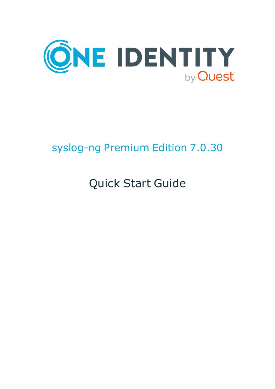

# syslog-ng Premium Edition 7.0.30

# Quick Start Guide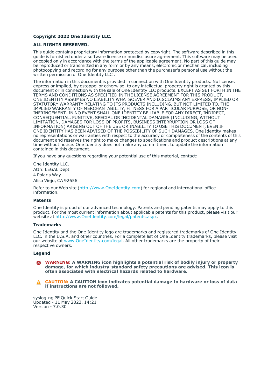#### **Copyright 2022 One Identity LLC.**

#### **ALL RIGHTS RESERVED.**

This guide contains proprietary information protected by copyright. The software described in this guide is furnished under a software license or nondisclosure agreement. This software may be used or copied only in accordance with the terms of the applicable agreement. No part of this guide may be reproduced or transmitted in any form or by any means, electronic or mechanical, including photocopying and recording for any purpose other than the purchaser's personal use without the written permission of One Identity LLC .

The information in this document is provided in connection with One Identity products. No license, express or implied, by estoppel or otherwise, to any intellectual property right is granted by this document or in connection with the sale of One Identity LLC products. EXCEPT AS SET FORTH IN THE TERMS AND CONDITIONS AS SPECIFIED IN THE LICENSE AGREEMENT FOR THIS PRODUCT, ONE IDENTITY ASSUMES NO LIABILITY WHATSOEVER AND DISCLAIMS ANY EXPRESS, IMPLIED OR STATUTORY WARRANTY RELATING TO ITS PRODUCTS INCLUDING, BUT NOT LIMITED TO, THE IMPLIED WARRANTY OF MERCHANTABILITY, FITNESS FOR A PARTICULAR PURPOSE, OR NON-INFRINGEMENT. IN NO EVENT SHALL ONE IDENTITY BE LIABLE FOR ANY DIRECT, INDIRECT, CONSEQUENTIAL, PUNITIVE, SPECIAL OR INCIDENTAL DAMAGES (INCLUDING, WITHOUT LIMITATION, DAMAGES FOR LOSS OF PROFITS, BUSINESS INTERRUPTION OR LOSS OF INFORMATION) ARISING OUT OF THE USE OR INABILITY TO USE THIS DOCUMENT, EVEN IF ONE IDENTITY HAS BEEN ADVISED OF THE POSSIBILITY OF SUCH DAMAGES. One Identity makes no representations or warranties with respect to the accuracy or completeness of the contents of this document and reserves the right to make changes to specifications and product descriptions at any time without notice. One Identity does not make any commitment to update the information contained in this document.

If you have any questions regarding your potential use of this material, contact:

One Identity LLC. Attn: LEGAL Dept 4 Polaris Way Aliso Viejo, CA 92656

Refer to our Web site [\(http://www.OneIdentity.com](http://www.oneidentity.com/)) for regional and international office information.

#### **Patents**

One Identity is proud of our advanced technology. Patents and pending patents may apply to this product. For the most current information about applicable patents for this product, please visit our website at [http://www.OneIdentity.com/legal/patents.aspx.](http://www.oneidentity.com/legal/patents.aspx)

#### **Trademarks**

One Identity and the One Identity logo are trademarks and registered trademarks of One Identity LLC. in the U.S.A. and other countries. For a complete list of One Identity trademarks, please visit our website at [www.OneIdentity.com/legal](http://www.oneidentity.com/legal). All other trademarks are the property of their respective owners.

#### **Legend**

**WARNING: A WARNING icon highlights a potential risk of bodily injury or property** œ **damage, for which industry-standard safety precautions are advised. This icon is often associated with electrical hazards related to hardware.**

**CAUTION: A CAUTION icon indicates potential damage to hardware or loss of data if instructions are not followed.**

syslog-ng PE Quick Start Guide Updated - 11 May 2022, 14:21 Version - 7.0.30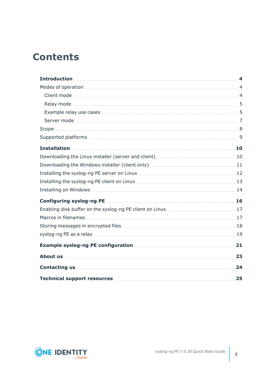### **Contents**

| 24 |
|----|
| 25 |

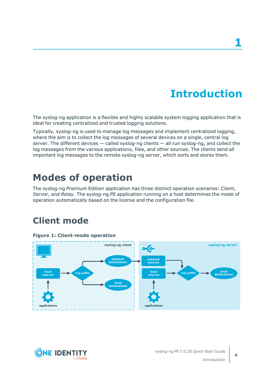## **Introduction**

<span id="page-3-0"></span>The syslog-ng application is a flexible and highly scalable system logging application that is ideal for creating centralized and trusted logging solutions.

Typically, syslog-ng is used to manage log messages and implement centralized logging, where the aim is to collect the log messages of several devices on a single, central log server. The different devices — called syslog-ng clients — all run syslog-ng, and collect the log messages from the various applications, files, and other sources. The clients send all important log messages to the remote syslog-ng server, which sorts and stores them.

### <span id="page-3-1"></span>**Modes of operation**

The syslog-ng Premium Edition application has three distinct operation scenarios: *Client*, *Server*, and *Relay*. The syslog-ng PE application running on a host determines the mode of operation automatically based on the license and the configuration file.

### <span id="page-3-2"></span>**Client mode**





**4**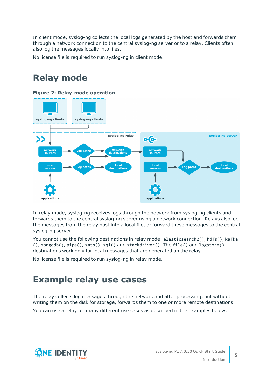In client mode, syslog-ng collects the local logs generated by the host and forwards them through a network connection to the central syslog-ng server or to a relay. Clients often also log the messages locally into files.

<span id="page-4-0"></span>No license file is required to run syslog-ng in client mode.

### **Relay mode**

#### **Figure 2: Relay-mode operation** syslog-ng clients syslog-ng clients syslog-ng relay syslog-ng server  $\bullet$ network<br>sources network<br>destinations network<br>sources Log paths local<br>destinations local<br>source local<br>source local<br>destinations .og path Log paths applications applications

In relay mode, syslog-ng receives logs through the network from syslog-ng clients and forwards them to the central syslog-ng server using a network connection. Relays also log the messages from the relay host into a local file, or forward these messages to the central syslog-ng server.

You cannot use the following destinations in relay mode: elasticsearch2(), hdfs(), kafka (), mongodb(), pipe(), smtp(), sql() and stackdriver(). The file() and logstore() destinations work only for local messages that are generated on the relay.

<span id="page-4-1"></span>No license file is required to run syslog-ng in relay mode.

### **Example relay use cases**

The relay collects log messages through the network and after processing, but without writing them on the disk for storage, forwards them to one or more remote destinations.

You can use a relay for many different use cases as described in the examples below.

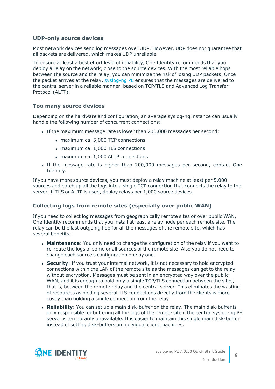#### **UDP-only source devices**

Most network devices send log messages over UDP. However, UDP does not guarantee that all packets are delivered, which makes UDP unreliable.

To ensure at least a best effort level of reliability, One Identity recommends that you deploy a relay on the network, close to the source devices. With the most reliable hops between the source and the relay, you can minimize the risk of losing UDP packets. Once the packet arrives at the relay, [syslog-ng](https://syslog-ng.com/blog/upgrading-from-syslog-ng-open-source-to-premium-edition/) PE ensures that the messages are delivered to the central server in a reliable manner, based on TCP/TLS and Advanced Log Transfer Protocol (ALTP).

#### **Too many source devices**

Depending on the hardware and configuration, an average syslog-ng instance can usually handle the following number of concurrent connections:

- If the maximum message rate is lower than 200,000 messages per second:
	- maximum ca. 5,000 TCP connections
	- maximum ca. 1,000 TLS connections
	- maximum ca. 1,000 ALTP connections
- If the message rate is higher than 200,000 messages per second, contact One Identity.

If you have more source devices, you must deploy a relay machine at least per 5,000 sources and batch up all the logs into a single TCP connection that connects the relay to the server. If TLS or ALTP is used, deploy relays per 1,000 source devices.

#### **Collecting logs from remote sites (especially over public WAN)**

If you need to collect log messages from geographically remote sites or over public WAN, One Identity recommends that you install at least a relay node per each remote site. The relay can be the last outgoing hop for all the messages of the remote site, which has several benefits:

- **Maintenance**: You only need to change the configuration of the relay if you want to re-route the logs of some or all sources of the remote site. Also you do not need to change each source's configuration one by one.
- **.** Security: If you trust your internal network, it is not necessary to hold encrypted connections within the LAN of the remote site as the messages can get to the relay without encryption. Messages must be sent in an encrypted way over the public WAN, and it is enough to hold only a single TCP/TLS connection between the sites, that is, between the remote relay and the central server. This eliminates the wasting of resources as holding several TLS connections directly from the clients is more costly than holding a single connection from the relay.
- **Reliability**: You can set up a main disk-buffer on the relay. The main disk-buffer is only responsible for buffering all the logs of the remote site if the central syslog-ng PE server is temporarily unavailable. It is easier to maintain this single main disk-buffer instead of setting disk-buffers on individual client machines.

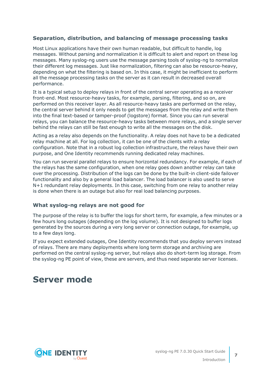#### **Separation, distribution, and balancing of message processing tasks**

Most Linux applications have their own human readable, but difficult to handle, log messages. Without parsing and normalization it is difficult to alert and report on these log messages. Many syslog-ng users use the message parsing tools of syslog-ng to normalize their different log messages. Just like normalization, filtering can also be resource-heavy, depending on what the filtering is based on. In this case, it might be inefficient to perform all the message processing tasks on the server as it can result in decreased overall performance.

It is a typical setup to deploy relays in front of the central server operating as a receiver front-end. Most resource-heavy tasks, for example, parsing, filtering, and so on, are performed on this receiver layer. As all resource-heavy tasks are performed on the relay, the central server behind it only needs to get the messages from the relay and write them into the final text-based or tamper-proof (logstore) format. Since you can run several relays, you can balance the resource-heavy tasks between more relays, and a single server behind the relays can still be fast enough to write all the messages on the disk.

Acting as a relay also depends on the functionality. A relay does not have to be a dedicated relay machine at all. For log collection, it can be one of the clients with a relay configuration. Note that in a robust log collection infrastructure, the relays have their own purpose, and One Identity recommends running dedicated relay machines.

You can run several parallel relays to ensure horizontal redundancy. For example, if each of the relays has the same configuration, when one relay goes down another relay can take over the processing. Distribution of the logs can be done by the built-in client-side failover functionality and also by a general load balancer. The load balancer is also used to serve N+1 redundant relay deployments. In this case, switching from one relay to another relay is done when there is an outage but also for real load balancing purposes.

#### **What syslog-ng relays are not good for**

The purpose of the relay is to buffer the logs for short term, for example, a few minutes or a few hours long outages (depending on the log volume). It is not designed to buffer logs generated by the sources during a very long server or connection outage, for example, up to a few days long.

If you expect extended outages, One Identity recommends that you deploy servers instead of relays. There are many deployments where long term storage and archiving are performed on the central syslog-ng server, but relays also do short-term log storage. From the syslog-ng PE point of view, these are servers, and thus need separate server licenses.

### <span id="page-6-0"></span>**Server mode**

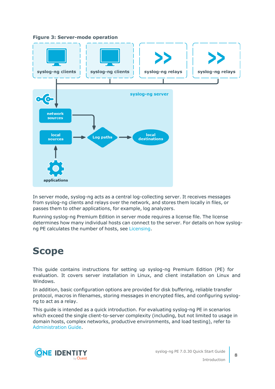**Figure 3: Server-mode operation**



In server mode, syslog-ng acts as a central log-collecting server. It receives messages from syslog-ng clients and relays over the network, and stores them locally in files, or passes them to other applications, for example, log analyzers.

Running syslog-ng Premium Edition in server mode requires a license file. The license determines how many individual hosts can connect to the server. For details on how syslogng PE calculates the number of hosts, see [Licensing.](../../../../../Content/Guides/syslog-ng-guide-admin/concepts-licensing.htm)

### <span id="page-7-0"></span>**Scope**

This guide contains instructions for setting up syslog-ng Premium Edition (PE) for evaluation. It covers server installation in Linux, and client installation on Linux and Windows.

In addition, basic configuration options are provided for disk buffering, reliable transfer protocol, macros in filenames, storing messages in encrypted files, and configuring syslogng to act as a relay.

This guide is intended as a quick introduction. For evaluating syslog-ng PE in scenarios which exceed the single client-to-server complexity (including, but not limited to usage in domain hosts, complex networks, productive environments, and load testing), refer to [Administration](https://support.oneidentity.com/technical-documents/syslog-ng-premium-edition/7.0.30/administration-guide/) Guide.

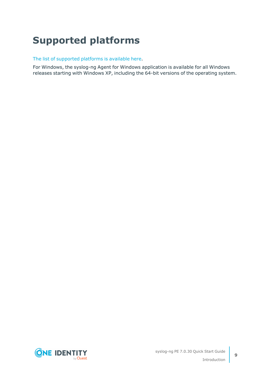## <span id="page-8-0"></span>**Supported platforms**

The list of [supported](https://syslog-ng.com/log-management-software/supported-platforms) platforms is available here.

For Windows, the syslog-ng Agent for Windows application is available for all Windows releases starting with Windows XP, including the 64-bit versions of the operating system.

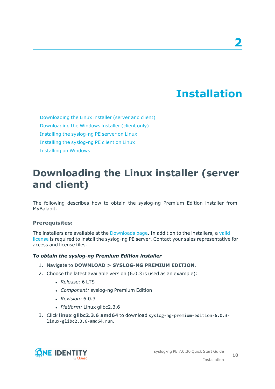## **Installation**

<span id="page-9-0"></span>[Downloading](#page-9-1) the Linux installer (server and client) [Downloading](#page-10-0) the Windows installer (client only) Installing the [syslog-ng](#page-11-0) PE server on Linux Installing the [syslog-ng](#page-12-0) PE client on Linux [Installing](#page-13-0) on Windows

### <span id="page-9-1"></span>**Downloading the Linux installer (server and client)**

The following describes how to obtain the syslog-ng Premium Edition installer from MyBalabit.

#### **Prerequisites:**

The installers are available at the [Downloads](https://support.oneidentity.com/my-downloads) page. In addition to the installers, a [valid](https://my.balabit.com/) [license](https://my.balabit.com/) is required to install the syslog-ng PE server. Contact your sales representative for access and license files.

#### *To obtain the syslog-ng Premium Edition installer*

- 1. Navigate to **DOWNLOAD > SYSLOG-NG PREMIUM EDITION**.
- 2. Choose the latest available version (6.0.3 is used as an example):
	- <sup>l</sup> *Release:* 6 LTS
	- <sup>l</sup> *Component:* syslog-ng Premium Edition
	- <sup>l</sup> *Revision:* 6.0.3
	- <sup>l</sup> *Platform:* Linux glibc2.3.6
- 3. Click **linux glibc2.3.6 amd64** to download syslog-ng-premium-edition-6.0.3 linux-glibc2.3.6-amd64.run.

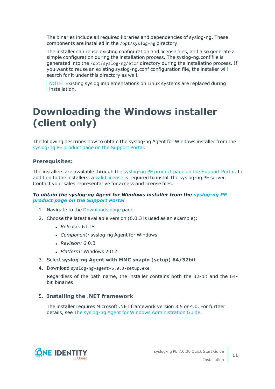The binaries include all required libraries and dependencies of syslog-ng. These components are installed in the /opt/syslog-ng directory.

The installer can reuse existing configuration and license files, and also generate a simple configuration during the installation process. The syslog-ng.conf file is generated into the /opt/syslog-ng/etc/ directory during the installatino process. If you want to reuse an existing syslog-ng.conf configuration file, the installer will search for it under this directory as well.

NOTE: Existing syslog implementations on Linux systems are replaced during installation.

### <span id="page-10-0"></span>**Downloading the Windows installer (client only)**

The following describes how to obtain the syslog-ng Agent for Windows installer from the [syslog-ng](https://support.oneidentity.com/syslog-ng-premium-edition/) PE product page on the Support Portal.

#### **Prerequisites:**

The installers are available through the [syslog-ng](https://support.oneidentity.com/syslog-ng-premium-edition/) PE product page on the Support Portal. In addition to the installers, a valid [license](https://support.oneidentity.com/my-account/licensing) is required to install the syslog-ng PE server. Contact your sales representative for access and license files.

#### *To obtain the syslog-ng Agent for Windows installer from the [syslog-ng](https://support.oneidentity.com/syslog-ng-premium-edition/) PE product page on the [Support](https://support.oneidentity.com/syslog-ng-premium-edition/) Portal*

- 1. Navigate to the [Downloads](https://support.oneidentity.com/my-downloads) page page.
- 2. Choose the latest available version (6.0.3 is used as an example):
	- <sup>l</sup> *Release:* 6 LTS
	- <sup>l</sup> *Component:* syslog-ng Agent for Windows
	- <sup>l</sup> *Revision:* 6.0.3
	- <sup>l</sup> *Platform:* Windows 2012
- 3. Select **syslog-ng Agent with MMC snapin (setup) 64/32bit**
- 4. Download syslog-ng-agent-6.0.3-setup.exe

Regardless of the path name, the installer contains both the 32-bit and the 64 bit binaries.

#### 5. **Installing the .NET framework**

The installer requires Microsoft .NET framework version 3.5 or 4.0. For further details, see The syslog-ng Agent for Windows [Administration](https://syslog-ng.com/documents/html/syslog-ng-pe-6.0-guides/en/syslog-ng-windows-agent-guide-admin/html/windows-install-standalone.html) Guide.

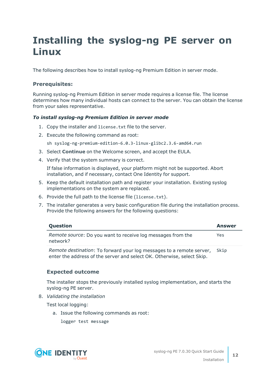## <span id="page-11-0"></span>**Installing the syslog-ng PE server on Linux**

The following describes how to install syslog-ng Premium Edition in server mode.

#### **Prerequisites:**

Running syslog-ng Premium Edition in server mode requires a license file. The license determines how many individual hosts can connect to the server. You can obtain the license from your sales representative.

#### *To install syslog-ng Premium Edition in server mode*

- 1. Copy the installer and license.txt file to the server.
- 2. Execute the following command as root:

sh syslog-ng-premium-edition-6.0.3-linux-glibc2.3.6-amd64.run

- 3. Select **Continue** on the Welcome screen, and accept the EULA.
- 4. Verify that the system summary is correct.

If false information is displayed, your platform might not be supported. Abort installation, and if necessary, contact One Identity for support.

- 5. Keep the default installation path and register your installation. Existing syslog implementations on the system are replaced.
- 6. Provide the full path to the license file (license.txt).
- 7. The installer generates a very basic configuration file during the installation process. Provide the following answers for the following questions:

| Question                                                                                                                                       | <b>Answer</b> |
|------------------------------------------------------------------------------------------------------------------------------------------------|---------------|
| Remote source: Do you want to receive log messages from the<br>network?                                                                        | Yes           |
| Remote destination: To forward your log messages to a remote server,<br>enter the address of the server and select OK. Otherwise, select Skip. | Skip          |

#### **Expected outcome**

The installer stops the previously installed syslog implementation, and starts the syslog-ng PE server.

8. *Validating the installation*

Test local logging:

- a. Issue the following commands as root:
	- logger test message



Installation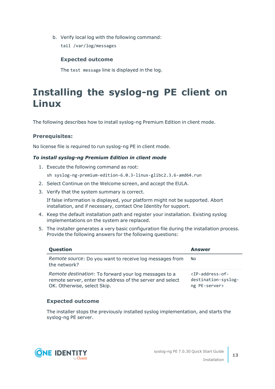b. Verify local log with the following command:

tail /var/log/messages

#### **Expected outcome**

The test message line is displayed in the log.

### <span id="page-12-0"></span>**Installing the syslog-ng PE client on Linux**

The following describes how to install syslog-ng Premium Edition in client mode.

#### **Prerequisites:**

No license file is required to run syslog-ng PE in client mode.

#### *To install syslog-ng Premium Edition in client mode*

- 1. Execute the following command as root:
	- sh syslog-ng-premium-edition-6.0.3-linux-glibc2.3.6-amd64.run
- 2. Select Continue on the Welcome screen, and accept the EULA.
- 3. Verify that the system summary is correct.

If false information is displayed, your platform might not be supported. Abort installation, and if necessary, contact One Identity for support.

- 4. Keep the default installation path and register your installation. Existing syslog implementations on the system are replaced.
- 5. The installer generates a very basic configuration file during the installation process. Provide the following answers for the following questions:

| Question                                                                                                                                          | <b>Answer</b>                                                                         |
|---------------------------------------------------------------------------------------------------------------------------------------------------|---------------------------------------------------------------------------------------|
| <i>Remote source:</i> Do you want to receive log messages from<br>the network?                                                                    | No.                                                                                   |
| Remote destination: To forward your log messages to a<br>remote server, enter the address of the server and select<br>OK. Otherwise, select Skip. | $\langle TP\text{-}address\text{-}of\text{-}$<br>destination-syslog-<br>ng PE-server> |

#### **Expected outcome**

The installer stops the previously installed syslog implementation, and starts the syslog-ng PE server.

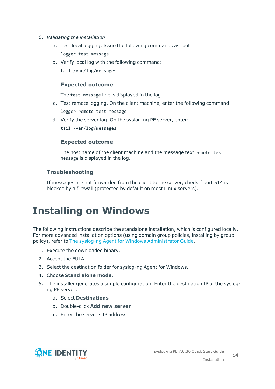- 6. *Validating the installation*
	- a. Test local logging. Issue the following commands as root: logger test message
	- b. Verify local log with the following command: tail /var/log/messages

#### **Expected outcome**

The test message line is displayed in the log.

- c. Test remote logging. On the client machine, enter the following command: logger remote test message
- d. Verify the server log. On the syslog-ng PE server, enter:

tail /var/log/messages

#### **Expected outcome**

The host name of the client machine and the message text remote test message is displayed in the log.

#### **Troubleshooting**

If messages are not forwarded from the client to the server, check if port 514 is blocked by a firewall (protected by default on most Linux servers).

### <span id="page-13-0"></span>**Installing on Windows**

The following instructions describe the standalone installation, which is configured locally. For more advanced installation options (using domain group policies, installing by group policy), refer to The syslog-ng Agent for Windows [Administrator](https://syslog-ng.com/documents/html/syslog-ng-pe-6.0-guides/en/syslog-ng-windows-agent-guide-admin/html/index.html) Guide.

- 1. Execute the downloaded binary.
- 2. Accept the EULA.
- 3. Select the destination folder for syslog-ng Agent for Windows.
- 4. Choose **Stand alone mode**.
- 5. The installer generates a simple configuration. Enter the destination IP of the syslogng PE server:
	- a. Select **Destinations**
	- b. Double-click **Add new server**
	- c. Enter the server's IP address

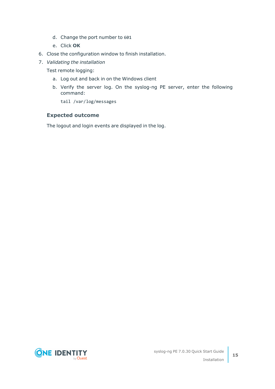- d. Change the port number to 601
- e. Click **OK**
- 6. Close the configuration window to finish installation.
- 7. *Validating the installation*

Test remote logging:

- a. Log out and back in on the Windows client
- b. Verify the server log. On the syslog-ng PE server, enter the following command:

tail /var/log/messages

#### **Expected outcome**

The logout and login events are displayed in the log.

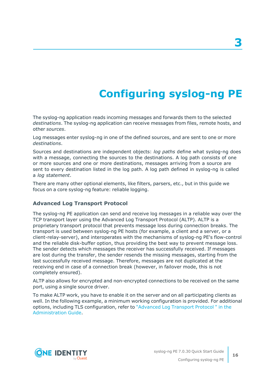# **Configuring syslog-ng PE**

<span id="page-15-0"></span>The syslog-ng application reads incoming messages and forwards them to the selected *destinations*. The syslog-ng application can receive messages from files, remote hosts, and other *sources*.

Log messages enter syslog-ng in one of the defined sources, and are sent to one or more *destinations*.

Sources and destinations are independent objects: *log paths* define what syslog-ng does with a message, connecting the sources to the destinations. A log path consists of one or more sources and one or more destinations, messages arriving from a source are sent to every destination listed in the log path. A log path defined in syslog-ng is called a *log statement*.

There are many other optional elements, like filters, parsers, etc., but in this guide we focus on a core syslog-ng feature: reliable logging.

#### **Advanced Log Transport Protocol**

The syslog-ng PE application can send and receive log messages in a reliable way over the TCP transport layer using the Advanced Log Transport Protocol (ALTP). ALTP is a proprietary transport protocol that prevents message loss during connection breaks. The transport is used between syslog-ng PE hosts (for example, a client and a server, or a client-relay-server), and interoperates with the mechanisms of syslog-ng PE's flow-control and the reliable disk-buffer option, thus providing the best way to prevent message loss. The sender detects which messages the receiver has successfully received. If messages are lost during the transfer, the sender resends the missing messages, starting from the last successfully received message. Therefore, messages are not duplicated at the receiving end in case of a connection break (however, in failover mode, this is not completely ensured).

ALTP also allows for encrypted and non-encrypted connections to be received on the same port, using a single source driver.

To make ALTP work, you have to enable it on the server and on all participating clients as well. In the following example, a minimum working configuration is provided. For additional options, including TLS configuration, refer to ["Advanced](https://support.oneidentity.com/technical-documents/syslog-ng-premium-edition/7.0.30/administration-guide/) Log Transport Protocol " in the [Administration](https://support.oneidentity.com/technical-documents/syslog-ng-premium-edition/7.0.30/administration-guide/) Guide.

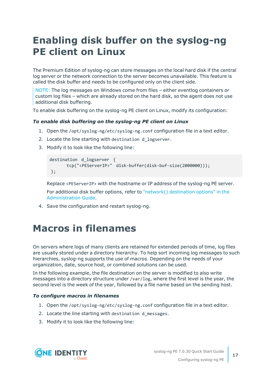### <span id="page-16-0"></span>**Enabling disk buffer on the syslog-ng PE client on Linux**

The Premium Edition of syslog-ng can store messages on the local hard disk if the central log server or the network connection to the server becomes unavailable. This feature is called the disk buffer and needs to be configured only on the client side.

NOTE: The log messages on Windows come from files – either eventlog containers or custom log files – which are already stored on the hard disk, so the agent does not use additional disk buffering.

To enable disk buffering on the syslog-ng PE client on Linux, modify its configuration:

#### *To enable disk buffering on the syslog-ng PE client on Linux*

- 1. Open the /opt/syslog-ng/etc/syslog-ng.conf configuration file in a text editor.
- 2. Locate the line starting with destination d\_logserver.
- 3. Modify it to look like the following line:

```
destination d_logserver {
      tcp("<PEServerIP>" disk-buffer(disk-buf-size(2000000)));
};
```
Replace <PEServerIP> with the hostname or IP address of the syslog-ng PE server.

For additional disk buffer options, refer to "network() [destination](https://support.oneidentity.com/technical-documents/syslog-ng-premium-edition/7.0.30/administration-guide/sending-and-storing-log-messages-�-destinations-and-destination-drivers/network-sending-messages-to-a-remote-log-server-using-the-rfc3164-protocol-network-driver/network-destination-options/) options" in the [Administration](https://support.oneidentity.com/technical-documents/syslog-ng-premium-edition/7.0.30/administration-guide/sending-and-storing-log-messages-�-destinations-and-destination-drivers/network-sending-messages-to-a-remote-log-server-using-the-rfc3164-protocol-network-driver/network-destination-options/) Guide.

<span id="page-16-1"></span>4. Save the configuration and restart syslog-ng.

### **Macros in filenames**

On servers where logs of many clients are retained for extended periods of time, log files are usually stored under a directory hierarchy. To help sort incoming log messages to such hierarchies, syslog-ng supports the use of macros. Depending on the needs of your organization, date, source host, or combined solutions can be used.

In the following example, the file destination on the server is modified to also write messages into a directory structure under /var/log, where the first level is the year, the second level is the week of the year, followed by a file name based on the sending host.

#### *To configure macros in filenames*

- 1. Open the /opt/syslog-ng/etc/syslog-ng.conf configuration file in a text editor.
- 2. Locate the line starting with destination d messages.
- 3. Modify it to look like the following line:

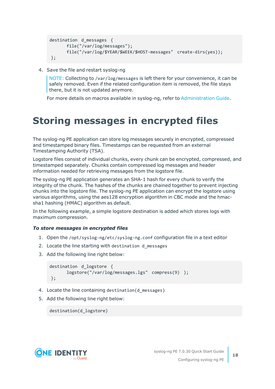```
destination d_messages {
      file("/var/log/messages");
      file("/var/log/$YEAR/$WEEK/$HOST-messages" create-dirs(yes));
};
```
4. Save the file and restart syslog-ng

NOTE: Collecting to /var/log/messages is left there for your convenience, it can be safely removed. Even if the related configuration item is removed, the file stays there, but it is not updated anymore.

For more details on macros available in syslog-ng, refer to [Administration](https://support.oneidentity.com/technical-documents/syslog-ng-premium-edition/7.0.30/administration-guide/) Guide.

### <span id="page-17-0"></span>**Storing messages in encrypted files**

The syslog-ng PE application can store log messages securely in encrypted, compressed and timestamped binary files. Timestamps can be requested from an external Timestamping Authority (TSA).

Logstore files consist of individual chunks, every chunk can be encrypted, compressed, and timestamped separately. Chunks contain compressed log messages and header information needed for retrieving messages from the logstore file.

The syslog-ng PE application generates an SHA-1 hash for every chunk to verify the integrity of the chunk. The hashes of the chunks are chained together to prevent injecting chunks into the logstore file. The syslog-ng PE application can encrypt the logstore using various algorithms, using the aes128 encryption algorithm in CBC mode and the hmacsha1 hashing (HMAC) algorithm as default.

In the following example, a simple logstore destination is added which stores logs with maximum compression.

#### *To store messages in encrypted files*

- 1. Open the /opt/syslog-ng/etc/syslog-ng.conf configuration file in a text editor
- 2. Locate the line starting with destination d messages
- 3. Add the following line right below:

```
destination d_logstore {
      logstore("/var/log/messages.lgs" compress(9) );
};
```
- 4. Locate the line containing destination(d messages)
- 5. Add the following line right below:

destination(d\_logstore)

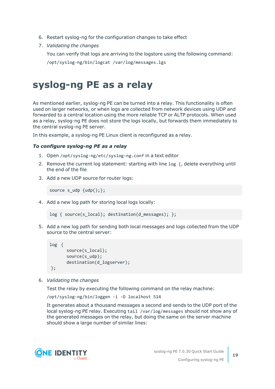- 6. Restart syslog-ng for the configuration changes to take effect
- 7. *Validating the changes*

You can verify that logs are arriving to the logstore using the following command:

/opt/syslog-ng/bin/logcat /var/log/messages.lgs

### <span id="page-18-0"></span>**syslog-ng PE as a relay**

As mentioned earlier, syslog-ng PE can be turned into a relay. This functionality is often used on larger networks, or when logs are collected from network devices using UDP and forwarded to a central location using the more reliable TCP or ALTP protocols. When used as a relay, syslog-ng PE does not store the logs locally, but forwards them immediately to the central syslog-ng PE server.

In this example, a syslog-ng PE Linux client is reconfigured as a relay.

#### *To configure syslog-ng PE as a relay*

- 1. Open /opt/syslog-ng/etc/syslog-ng.conf in a text editor
- 2. Remove the current log statement: starting with line log {, delete everything until the end of the file
- 3. Add a new UDP source for router logs:

source  $s$ \_udp  $\{udp();\}$ ;

4. Add a new log path for storing local logs locally:

```
log { source(s_local); destination(d_messages); };
```
5. Add a new log path for sending both local messages and logs collected from the UDP source to the central server:

```
log {
      source(s_local);
      source(s udp);
      destination(d_logserver);
};
```
6. *Validating the changes*

Test the relay by executing the following command on the relay machine:

/opt/syslog-ng/bin/loggen -i -D localhost 514

It generates about a thousand messages a second and sends to the UDP port of the local syslog-ng PE relay. Executing tail /var/log/messages should not show any of the generated messages on the relay, but doing the same on the server machine should show a large number of similar lines:

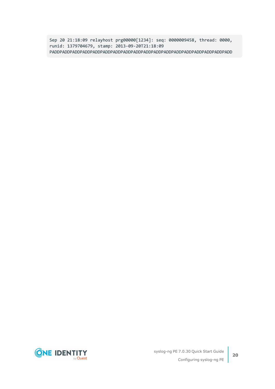Sep 20 21:18:09 relayhost prg00000[1234]: seq: 0000009458, thread: 0000, runid: 1379704679, stamp: 2013-09-20T21:18:09 PADDPADDPADDPADDPADDPADDPADDPADDPADDPADDPADDPADDPADDPADDPADDPADDPADDPADD

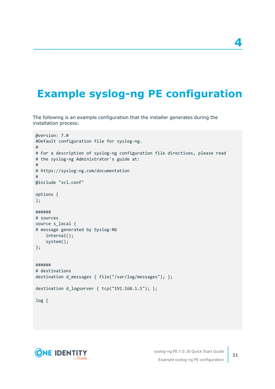## <span id="page-20-0"></span>**Example syslog-ng PE configuration**

The following is an example configuration that the installer generates during the installation process:

```
@version: 7.0
#Default configuration file for syslog-ng.
#
# For a description of syslog-ng configuration file directives, please read
# the syslog-ng Administrator's guide at:
#
# https://syslog-ng.com/documentation
#
@include "scl.conf"
options {
};
######
# sources
source s_local {
# message generated by Syslog-NG
    internal();
   system();
};
######
# destinations
destination d_messages { file("/var/log/messages"); };
destination d_logserver { tcp("192.168.1.1"); };
log {
```


**4**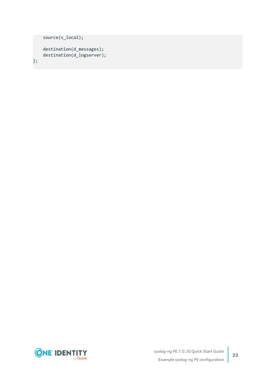```
source(s_local);
    destination(d_messages);
   destination(d_logserver);
};
```
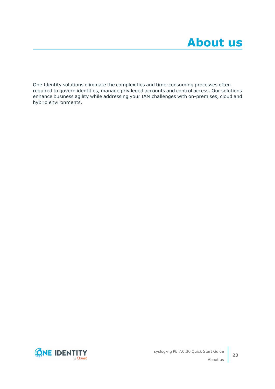<span id="page-22-0"></span>One Identity solutions eliminate the complexities and time-consuming processes often required to govern identities, manage privileged accounts and control access. Our solutions enhance business agility while addressing your IAM challenges with on-premises, cloud and hybrid environments.

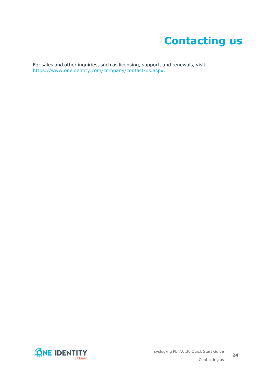# **Contacting us**

<span id="page-23-0"></span>For sales and other inquiries, such as licensing, support, and renewals, visit [https://www.oneidentity.com/company/contact-us.aspx.](https://www.oneidentity.com/company/contact-us.aspx)

**ONE IDENTITY** by **Quest**